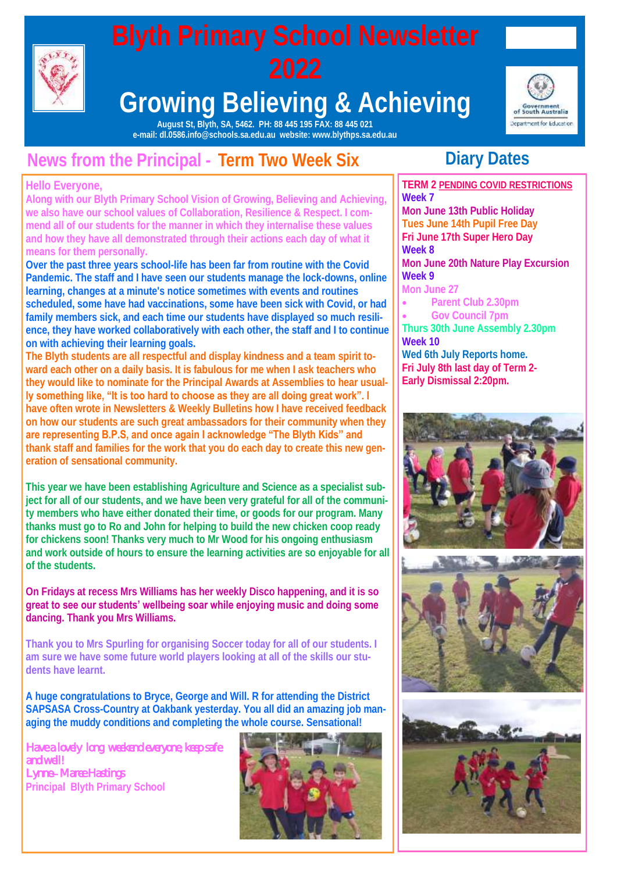

#### **Growing Believing & Achieving**



**August St, Blyth, SA, 5462. PH: 88 445 195 FAX: 88 445 021 e-mail: dl.0586.info@schools.sa.edu.au website: www.blythps.sa.edu.au**

#### **News from the Principal - Term Two Week Six**

#### **Hello Everyone,**

**Along with our Blyth Primary School Vision of Growing, Believing and Achieving, we also have our school values of Collaboration, Resilience & Respect. I commend all of our students for the manner in which they internalise these values and how they have all demonstrated through their actions each day of what it means for them personally.** 

**Over the past three years school-life has been far from routine with the Covid Pandemic. The staff and I have seen our students manage the lock-downs, online learning, changes at a minute's notice sometimes with events and routines scheduled, some have had vaccinations, some have been sick with Covid, or had family members sick, and each time our students have displayed so much resilience, they have worked collaboratively with each other, the staff and I to continue on with achieving their learning goals.** 

**The Blyth students are all respectful and display kindness and a team spirit toward each other on a daily basis. It is fabulous for me when I ask teachers who they would like to nominate for the Principal Awards at Assemblies to hear usually something like, "It is too hard to choose as they are all doing great work". I have often wrote in Newsletters & Weekly Bulletins how I have received feedback on how our students are such great ambassadors for their community when they are representing B.P.S, and once again I acknowledge "The Blyth Kids" and thank staff and families for the work that you do each day to create this new generation of sensational community.** 

**This year we have been establishing Agriculture and Science as a specialist subject for all of our students, and we have been very grateful for all of the community members who have either donated their time, or goods for our program. Many thanks must go to Ro and John for helping to build the new chicken coop ready for chickens soon! Thanks very much to Mr Wood for his ongoing enthusiasm and work outside of hours to ensure the learning activities are so enjoyable for all of the students.** 

**On Fridays at recess Mrs Williams has her weekly Disco happening, and it is so great to see our students' wellbeing soar while enjoying music and doing some dancing. Thank you Mrs Williams.**

**Thank you to Mrs Spurling for organising Soccer today for all of our students. I am sure we have some future world players looking at all of the skills our students have learnt.** 

**A huge congratulations to Bryce, George and Will. R for attending the District SAPSASA Cross-Country at Oakbank yesterday. You all did an amazing job managing the muddy conditions and completing the whole course. Sensational!**

*Have a lovely long weekend everyone, keep safe and well! Lynne– Maree Hastings*  **Principal Blyth Primary School** 



#### **Diary Dates**

**TERM 2 PENDING COVID RESTRICTIONS Week 7 Mon June 13th Public Holiday Tues June 14th Pupil Free Day Fri June 17th Super Hero Day Week 8 Mon June 20th Nature Play Excursion Week 9 Mon June 27 Parent Club 2.30pm Gov Council 7pm Thurs 30th June Assembly 2.30pm Week 10 Wed 6th July Reports home. Fri July 8th last day of Term 2-**

**Early Dismissal 2:20pm.** 





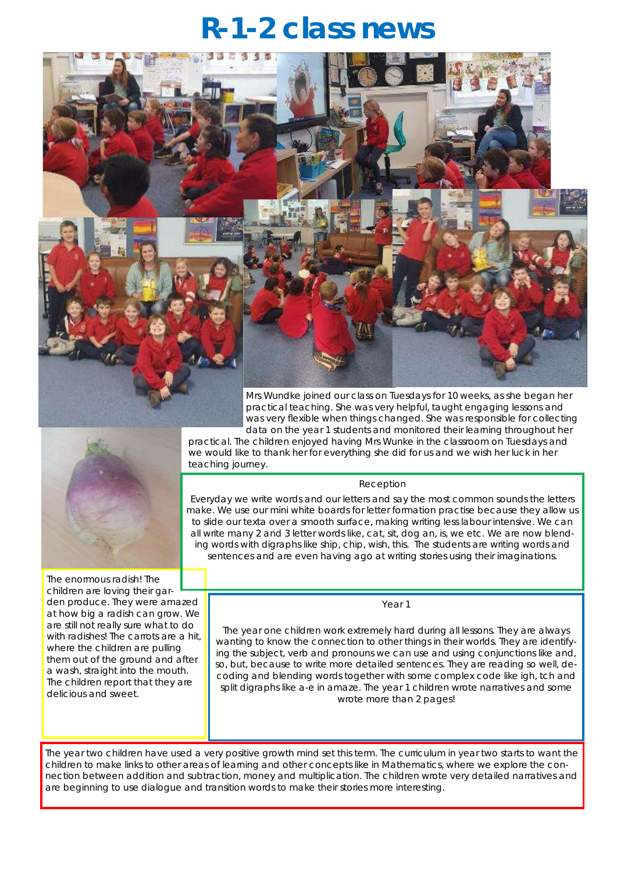#### **R-1-2 class news**



The enormous radish! The children are loving their garden produce. They were amazed at how big a radish can grow. We are still not really sure what to do with radishes! The carrots are a hit, where the children are pulling them out of the ground and after a wash, straight into the mouth. The children report that they are delicious and sweet.

Mrs Wundke joined our class on Tuesdays for 10 weeks, as she began her practical teaching. She was very helpful, taught engaging lessons and was very flexible when things changed. She was responsible for collecting data on the year 1 students and monitored their learning throughout her

practical. The children enjoyed having Mrs Wunke in the classroom on Tuesdays and we would like to thank her for everything she did for us and we wish her luck in her teaching journey.

#### Reception

Everyday we write words and our letters and say the most common sounds the letters make. We use our mini white boards for letter formation practise because they allow us to slide our texta over a smooth surface, making writing less labour intensive. We can all write many 2 and 3 letter words like, cat, sit, dog an, is, we etc. We are now blending words with digraphs like ship, chip, wish, this. The students are writing words and sentences and are even having ago at writing stories using their imaginations.

Year 1

The year one children work extremely hard during all lessons. They are always wanting to know the connection to other things in their worlds. They are identifying the subject, verb and pronouns we can use and using conjunctions like and, so, but, because to write more detailed sentences. They are reading so well, decoding and blending words together with some complex code like igh, tch and split digraphs like a-e in amaze. The year 1 children wrote narratives and some wrote more than 2 pages!

The year two children have used a very positive growth mind set this term. The curriculum in year two starts to want the children to make links to other areas of learning and other concepts like in Mathematics, where we explore the connection between addition and subtraction, money and multiplication. The children wrote very detailed narratives and are beginning to use dialogue and transition words to make their stories more interesting.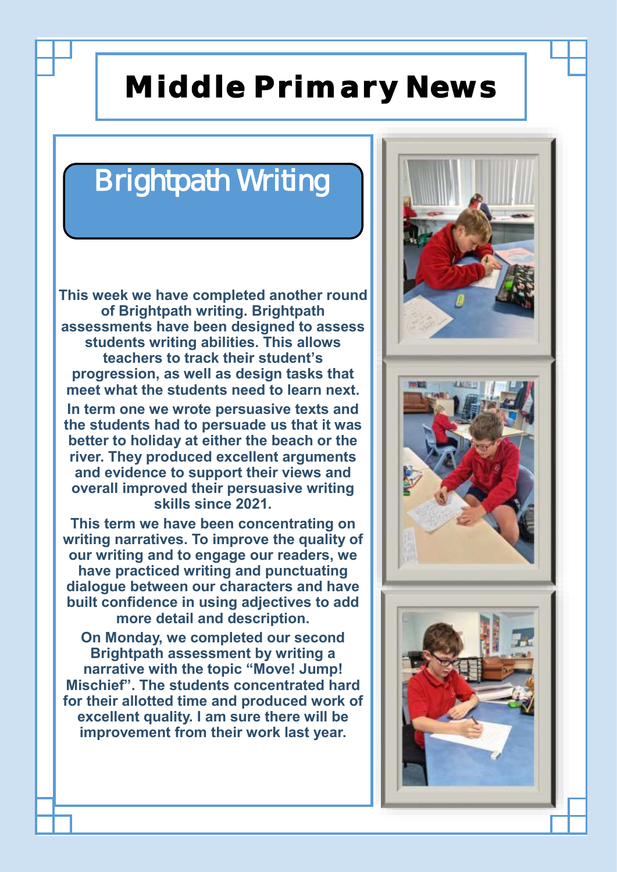#### **Middle Primary News**

#### Brightpath Writing

**This week we have completed another round of Brightpath writing. Brightpath assessments have been designed to assess students writing abilities. This allows teachers to track their student's progression, as well as design tasks that meet what the students need to learn next.** 

**In term one we wrote persuasive texts and the students had to persuade us that it was better to holiday at either the beach or the river. They produced excellent arguments and evidence to support their views and overall improved their persuasive writing skills since 2021.** 

**This term we have been concentrating on writing narratives. To improve the quality of our writing and to engage our readers, we have practiced writing and punctuating dialogue between our characters and have built confidence in using adjectives to add more detail and description.**

**On Monday, we completed our second Brightpath assessment by writing a narrative with the topic "Move! Jump! Mischief". The students concentrated hard for their allotted time and produced work of excellent quality. I am sure there will be improvement from their work last year.** 

 $\overline{a}$ 

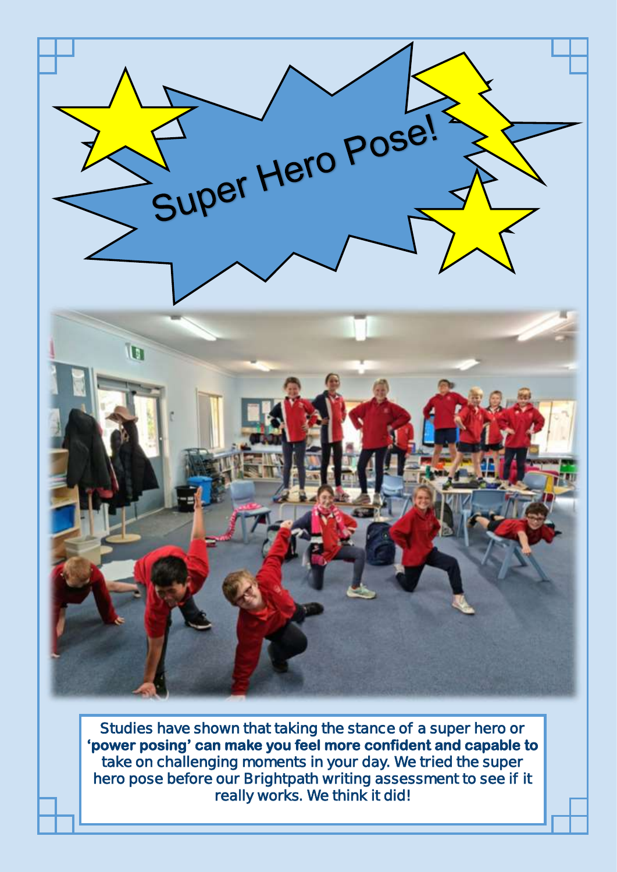

**Studies have shown that taking the stance of a super hero or 'power posing' can make you feel more confident and capable to take on challenging moments in your day. We tried the super hero pose before our Brightpath writing assessment to see if it really works. We think it did!**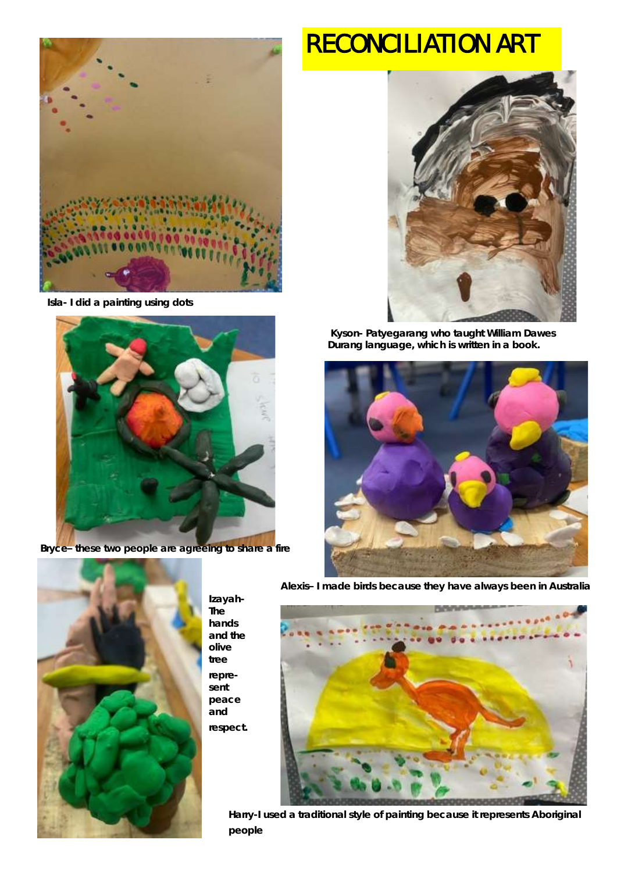

**Isla- I did a painting using dots**



**Bryce– these two people are agreeing to share a fire**

#### **RECONCILIATION ART**



**Kyson- Patyegarang who taught William Dawes Durang language, which is written in a book.**





**Izayah-The hands and the olive tree represent peace and respect.**  **Alexis– I made birds because they have always been in Australia**



**Harry-I used a traditional style of painting because it represents Aboriginal people**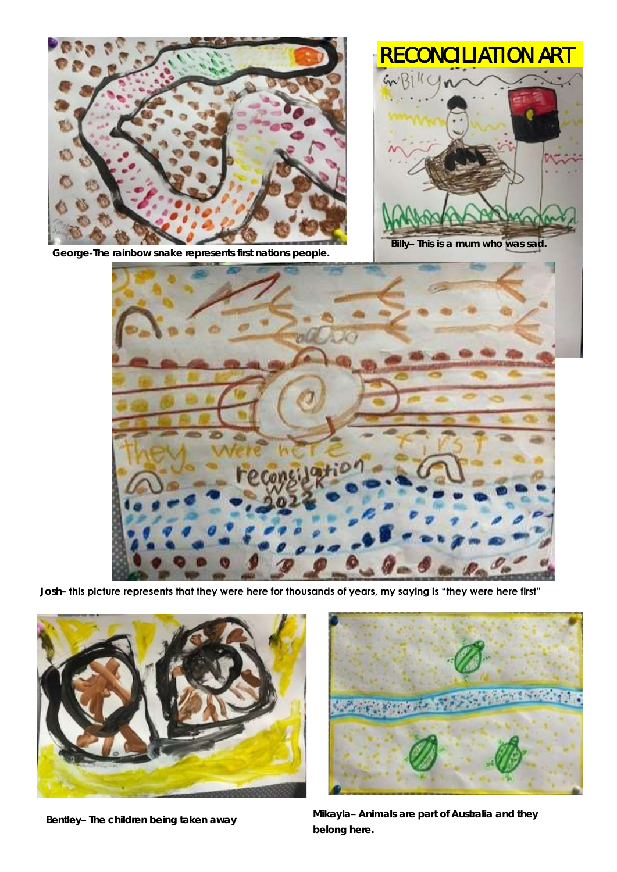

**George-The rainbow snake represents first nations people.**



**Billy– This is a mum who was sad.**



**Josh– this picture represents that they were here for thousands of years, my saying is "they were here first"**





**Bentley– The children being taken away Mikayla– Animals are part of Australia and they belong here.**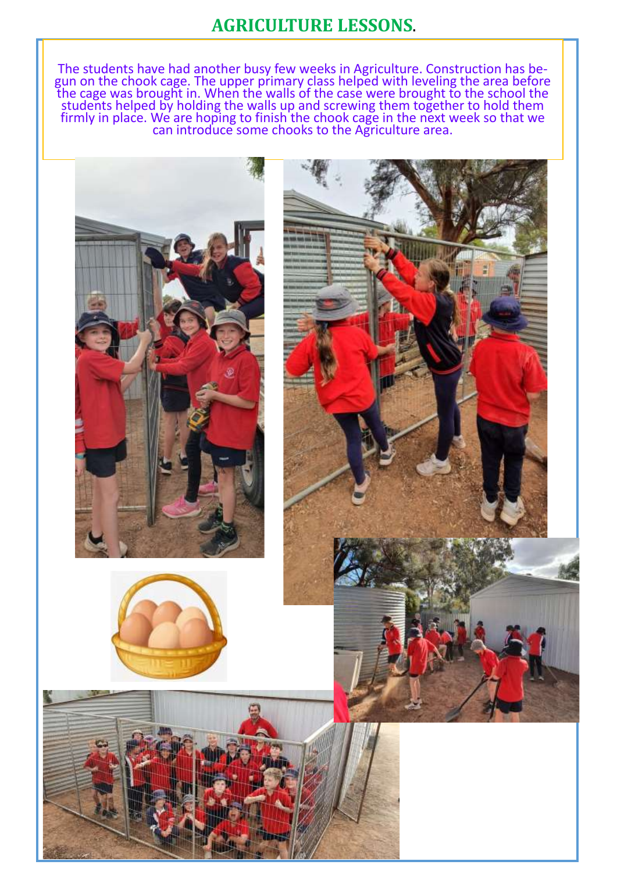#### **AGRICULTURE LESSONS**.

The students have had another busy few weeks in Agriculture. Construction has begun on the chook cage. The upper primary class helped with leveling the area before the cage was brought in. When the walls of the case were brought to the school the students helped by holding the walls up and screwing them together to hold them firmly in place. We are hoping to finish the chook cage in the next week so that we can introduce some chooks to the Agriculture area.



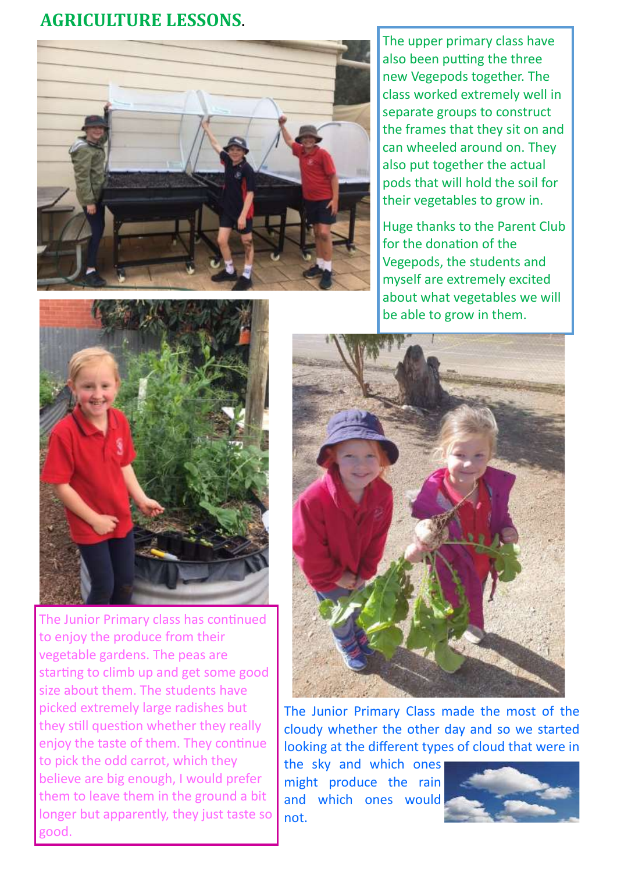#### **AGRICULTURE LESSONS**.



The upper primary class have also been putting the three new Vegepods together. The class worked extremely well in separate groups to construct the frames that they sit on and can wheeled around on. They also put together the actual pods that will hold the soil for their vegetables to grow in.

Huge thanks to the Parent Club for the donation of the Vegepods, the students and myself are extremely excited about what vegetables we will be able to grow in them.



The Junior Primary class has continued to enjoy the produce from their vegetable gardens. The peas are starting to climb up and get some good size about them. The students have picked extremely large radishes but they still question whether they really enjoy the taste of them. They continue to pick the odd carrot, which they believe are big enough, I would prefer them to leave them in the ground a bit longer but apparently, they just taste so good.



The Junior Primary Class made the most of the cloudy whether the other day and so we started looking at the different types of cloud that were in

the sky and which ones might produce the rain and which ones would not.

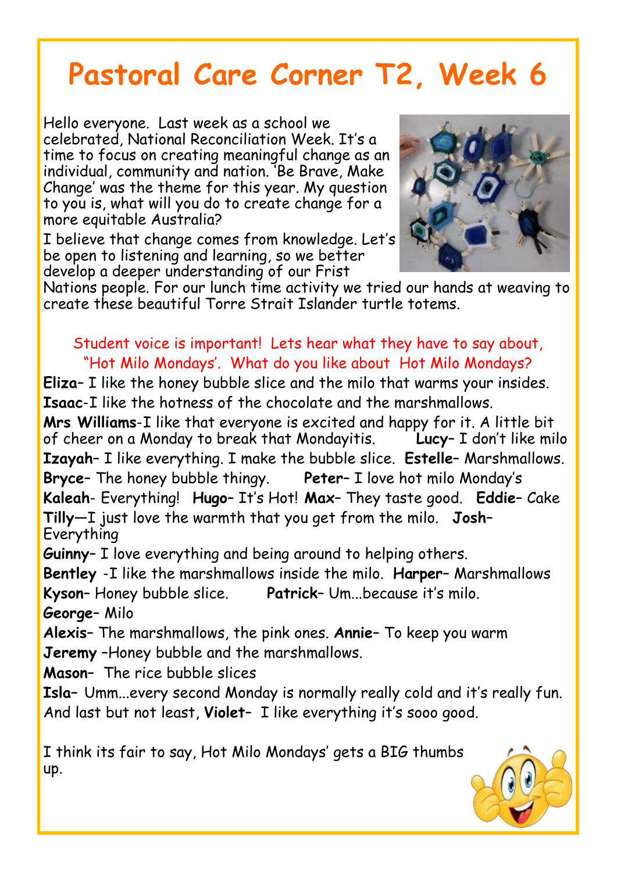#### **Pastoral Care Corner T2, Week 6**

Hello everyone. Last week as a school we celebrated, National Reconciliation Week. It's a time to focus on creating meaningful change as an individual, community and nation. 'Be Brave, Make Change' was the theme for this year. My question to you is, what will you do to create change for a more equitable Australia?

I believe that change comes from knowledge. Let's be open to listening and learning, so we better develop a deeper understanding of our Frist



Nations people. For our lunch time activity we tried our hands at weaving to create these beautiful Torre Strait Islander turtle totems.

Student voice is important! Lets hear what they have to say about, "Hot Milo Mondays'. What do you like about Hot Milo Mondays? **Eliza**– I like the honey bubble slice and the milo that warms your insides.

**Isaac**-I like the hotness of the chocolate and the marshmallows.

**Mrs Williams**-I like that everyone is excited and happy for it. A little bit of cheer on a Monday to break that Mondayitis. **Lucy**– I don't like milo **Izayah**– I like everything. I make the bubble slice. **Estelle**– Marshmallows. **Bryce**– The honey bubble thingy. **Peter**– I love hot milo Monday's **Kaleah**- Everything! **Hugo**– It's Hot! **Max**– They taste good. **Eddie**– Cake **Tilly**—I just love the warmth that you get from the milo. **Josh**– Everything

**Guinny**– I love everything and being around to helping others.

**Bentley** -I like the marshmallows inside the milo. **Harper**– Marshmallows **Kyson**– Honey bubble slice. **Patrick**– Um...because it's milo. **George**– Milo

**Alexis**– The marshmallows, the pink ones. **Annie**– To keep you warm **Jeremy** –Honey bubble and the marshmallows.

**Mason**– The rice bubble slices

**Isla–** Umm...every second Monday is normally really cold and it's really fun. And last but not least, **Violet**– I like everything it's sooo good.

I think its fair to say, Hot Milo Mondays' gets a BIG thumbs up.

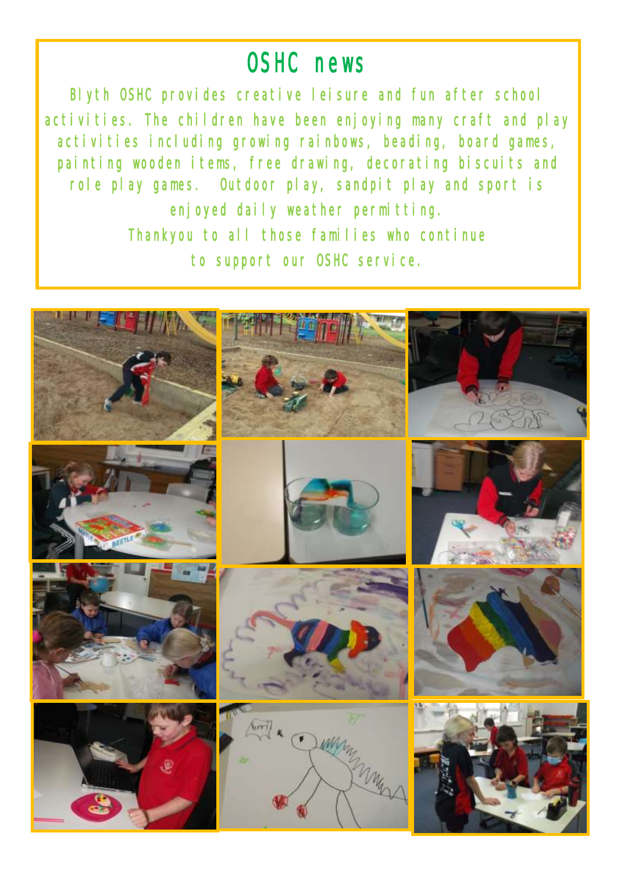#### OSHC news

Blyth OSHC provides creative leisure and fun after school activities. The children have been enjoying many craft and play activities including growing rainbows, beading, board games, painting wooden items, free drawing, decorating biscuits and role play games. Outdoor play, sandpit play and sport is enjoyed daily weather permitting. Thankyou to all those families who continue to support our OSHC service.

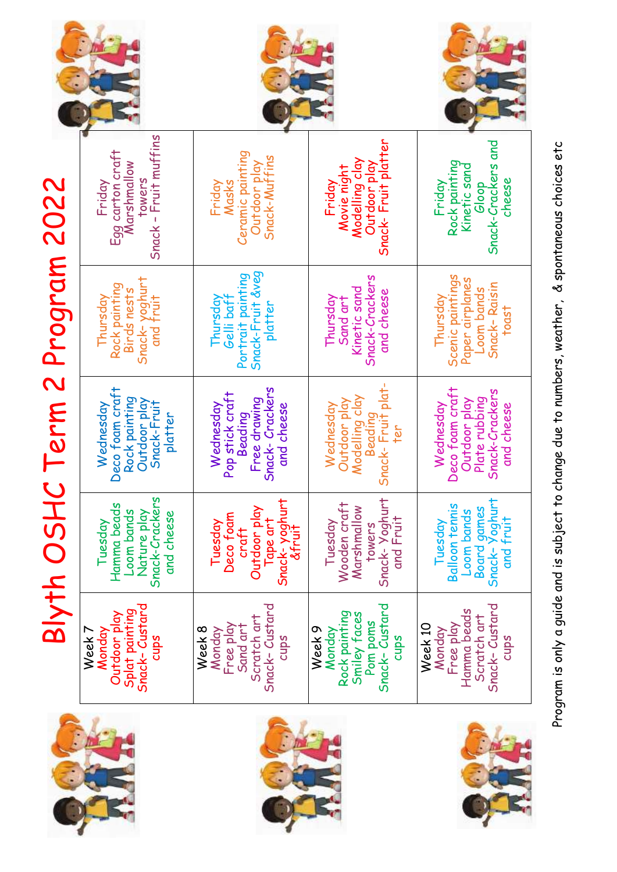

# Blyth OSHC Term 2 Program 2022 Blyth OSHC Term 2 Program 2022

| Snack - Fruit muffins<br>Egg carton craft<br>Marshmallow<br>towers<br>Friday            | Ceramic painting<br>Snack-Muffins<br>Outdoor play<br>Masks<br>Friday                    | Snack-Fruit platter<br>Modelling clay<br>Outdoor play<br>Movie night<br>Fridav                | Snack-Crackers and<br>Rock painting<br>Kinetic sand<br>cheese<br>Friday<br>Gloop                    |
|-----------------------------------------------------------------------------------------|-----------------------------------------------------------------------------------------|-----------------------------------------------------------------------------------------------|-----------------------------------------------------------------------------------------------------|
| Snack-yoghurt<br>and fruit<br>Rock painting<br>Birds nests<br>Thursday                  | Snack-Fruit &veg<br>Portrait painting<br>Gelli baff<br>Thursday<br>platter              | Snack-Crackers<br>Kinetic sand<br>and cheese<br>Thursday<br>Sand art                          | Scenic paintings<br>Paper airplanes<br>Snack-Raisin<br>Loom bands<br>Thursday<br>toast              |
| Deco foam craft<br>Rock painting<br>Outdoor play<br>Snack-Fruit<br>Wednesday<br>platter | Snack-Crackers<br>Pop stick craft<br>Free drawing<br>Wednesday<br>and cheese<br>Beading | Snack-Fruit plat-<br>Modelling clay<br>Outdoor play<br>Wednesday<br>Beading                   | Deco foam craft<br>Snack-Crackers<br>Outdoor play<br>Plate rubbing<br>Wednesday<br>and cheese       |
| Snack-Crackers<br>Hamma beads<br>Loom bands<br>Nature play<br>and cheese<br>Tuesday     | Snack-yoghurt<br>Outdoor play<br>Deco toam<br>lape art<br>Tuesday<br>&fruit<br>craft    | Snack-Yoghurt<br>Wooden craft<br>Marshmallow<br>and Fruit<br>Tuesday<br>towers                | Board games<br>Snack- Yoghurt<br><b>Balloon tennis</b><br><b>Loom</b> bands<br>and fruit<br>Tuesday |
| Splat painting<br>Snack- Custard<br>Outdoor play<br>Week 7<br>Monday<br>cups            | Snack-Custard<br>Scratch art<br>Free play<br>Sand art<br>Week 8<br>Monday<br>cups       | Snack-Custard<br>Rock painting<br>Smiley faces<br>Pom poms<br>Week 9<br>Monday<br><b>Sdnp</b> | Snack-Custard<br>Free play<br>Hamma beads<br>Scratch art<br>Week 10<br>Monday<br>cups               |



Program is only a guide and is subject to change due to numbers, weather, & spontaneous choices etc Program is only a guide and is subject to change due to numbers, weather, & spontaneous choices etc